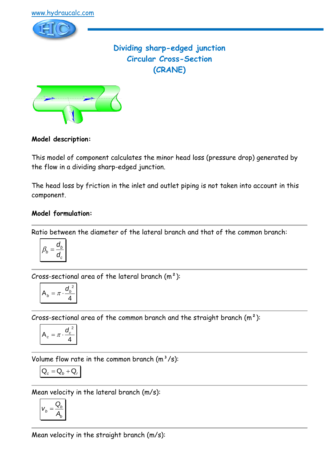

# **Dividing sharp-edged junction Circular Cross-Section (CRANE)**



### **Model description:**

This model of component calculates the minor head loss (pressure drop) generated by the flow in a dividing sharp-edged junction.

The head loss by friction in the inlet and outlet piping is not taken into account in this component.

### **Model formulation:**

Ratio between the diameter of the lateral branch and that of the common branch:

$$
\beta_b = \frac{d_b}{d_c}
$$

Cross-sectional area of the lateral branch  $(m<sup>2</sup>)$ :

$$
A_b = \pi \cdot \frac{{d_b}^2}{4}
$$

Cross-sectional area of the common branch and the straight branch  $(m<sup>2</sup>)$ :

$$
A_c = \pi \cdot \frac{d_c^2}{4}
$$

Volume flow rate in the common branch  $(m^3/s)$ :

$$
\boxed{\mathsf{Q}_{c}=\mathsf{Q}_{b}+\mathsf{Q}_{r}}
$$

Mean velocity in the lateral branch (m/s):

$$
V_b = \frac{Q_b}{A_b}
$$

Mean velocity in the straight branch (m/s):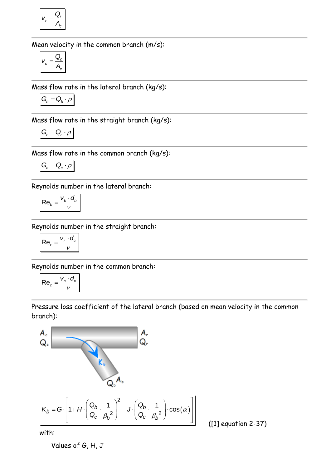$$
V_r = \frac{Q_r}{A_c}
$$

Mean velocity in the common branch (m/s):

$$
V_c = \frac{Q_c}{A_c}
$$

Mass flow rate in the lateral branch (kg/s):

$$
\mathbf{G}_b = \mathbf{Q}_b \cdot \boldsymbol{\rho}
$$

Mass flow rate in the straight branch (kg/s):

$$
G_r = Q_r \cdot \rho
$$

Mass flow rate in the common branch (kg/s):

$$
\mathbf{G}_c = \mathbf{Q}_c \cdot \boldsymbol{\rho}
$$

Reynolds number in the lateral branch:

$$
\mathsf{Re}_b = \frac{v_b \cdot d_b}{v}
$$

Reynolds number in the straight branch:

$$
\mathsf{Re}_r = \frac{v_r \cdot d_c}{v}
$$

Reynolds number in the common branch:

$$
\mathsf{Re}_c = \frac{v_c \cdot d_c}{v}
$$

Pressure loss coefficient of the lateral branch (based on mean velocity in the common branch):



([1] equation 2-37)

with:

Values of G, H, J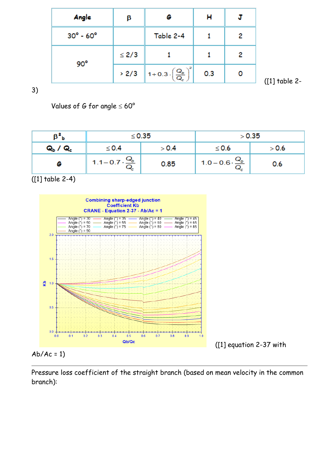| Angle                       | β          | G                                                                                          | н   |   |
|-----------------------------|------------|--------------------------------------------------------------------------------------------|-----|---|
| $30^{\circ}$ - $60^{\circ}$ |            | Table 2-4                                                                                  |     | 2 |
| $90^\circ$                  | $\leq$ 2/3 |                                                                                            |     | 2 |
|                             | > 2/3      | $\boxed{\mathbf{1} + \mathbf{0.3} \cdot \left(\frac{\mathbf{Q}_b}{\mathbf{Q}_c}\right)^2}$ | 0.3 |   |

([1] table 2-

3)

Values of G for angle  $\leq 60^{\circ}$ 

| ΡЬ                              | $\leq$ 0.35       |       | > 0.35                            |       |
|---------------------------------|-------------------|-------|-----------------------------------|-------|
| Q <sub>b</sub> / Q <sub>c</sub> | $\leq$ 0.4        | > 0.4 | $\leq$ 0.6                        | > 0.6 |
|                                 | $\frac{Q_b}{Q_c}$ | 0.85  | $1.0 - 0.6 \cdot \frac{Q_b}{Q_c}$ | 0.6   |

([1] table 2-4)



 $Ab/Ac = 1$ 

Pressure loss coefficient of the straight branch (based on mean velocity in the common branch):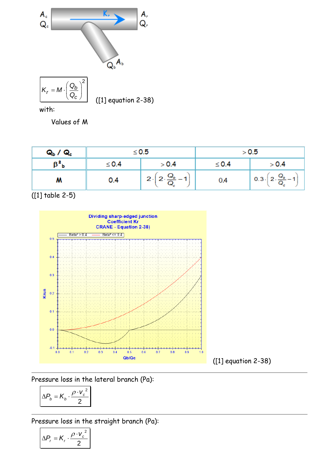

with:

Values of M

| Q <sub>b</sub> / Q <sub>c</sub> | $\leq 0.5$ |                    | > 0.5      |                                                   |
|---------------------------------|------------|--------------------|------------|---------------------------------------------------|
| B,<br>Þ                         | $\leq 0.4$ | > 0.4              | $\leq 0.4$ | > 0.4                                             |
| м                               | 0.4        | $Q_{b}$ .<br>$2 -$ | 0.4        | $1\ 0.3\cdot\left(2\cdot\frac{Q_b}{Q_c}-1\right)$ |

([1] table 2-5)



Pressure loss in the lateral branch (Pa):

$$
\Delta P_b = K_b \cdot \frac{\rho \cdot v_c^2}{2}
$$

Pressure loss in the straight branch (Pa):

$$
\Delta P_r = K_r \cdot \frac{\rho \cdot v_c^2}{2}
$$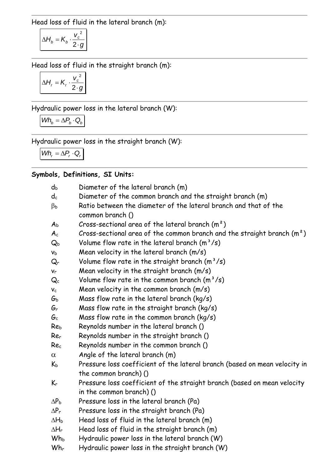Head loss of fluid in the lateral branch (m):

$$
\Delta H_b = K_b \cdot \frac{v_c^2}{2 \cdot g}
$$

Head loss of fluid in the straight branch (m):

$$
\Delta H_r = K_r \cdot \frac{v_c^2}{2 \cdot g}
$$

Hydraulic power loss in the lateral branch (W):

$$
Wh_b = \Delta P_b \cdot Q_b
$$

Hydraulic power loss in the straight branch (W):

 $Wh_r = \Delta P_r \cdot Q_r$ 

## **Symbols, Definitions, SI Units:**

| dь                        | Diameter of the lateral branch (m)                                                                  |
|---------------------------|-----------------------------------------------------------------------------------------------------|
| $\mathsf{d}_{\mathsf{c}}$ | Diameter of the common branch and the straight branch (m)                                           |
| ßь                        | Ratio between the diameter of the lateral branch and that of the<br>common branch ()                |
| $A_{\rm b}$               | Cross-sectional area of the lateral branch $(m^2)$                                                  |
| $A_c$                     | Cross-sectional area of the common branch and the straight branch $(m^2)$                           |
| $Q_b$                     | Volume flow rate in the lateral branch $(m^3/s)$                                                    |
| $\mathsf{v}_\mathsf{b}$   | Mean velocity in the lateral branch (m/s)                                                           |
| $\mathsf{Q}_\mathsf{r}$   | Volume flow rate in the straight branch $(m^3/s)$                                                   |
| $V_{\Gamma}$              | Mean velocity in the straight branch (m/s)                                                          |
| $\mathsf{Q}_{\mathsf{c}}$ | Volume flow rate in the common branch $(m^3/s)$                                                     |
| Vc                        | Mean velocity in the common branch $(m/s)$                                                          |
| Gь                        | Mass flow rate in the lateral branch ( $kg/s$ )                                                     |
| $G_r$                     | Mass flow rate in the straight branch ( $kg/s$ )                                                    |
| Gc                        | Mass flow rate in the common branch ( $kg/s$ )                                                      |
| Reb                       | Reynolds number in the lateral branch ()                                                            |
| Rer                       | Reynolds number in the straight branch ()                                                           |
| Rec                       | Reynolds number in the common branch ()                                                             |
| $\alpha$                  | Angle of the lateral branch (m)                                                                     |
| $K_{b}$                   | Pressure loss coefficient of the lateral branch (based on mean velocity in<br>the common branch) () |
| $K_r$                     | Pressure loss coefficient of the straight branch (based on mean velocity                            |
|                           | in the common branch) ()                                                                            |
| $\Delta$ P $_{\rm b}$     | Pressure loss in the lateral branch (Pa)                                                            |
| $\Delta P_r$              | Pressure loss in the straight branch (Pa)                                                           |
| ΔH <sub>b</sub>           | Head loss of fluid in the lateral branch (m)                                                        |
| ∆Hr                       | Head loss of fluid in the straight branch (m)                                                       |
| <b>Wh</b> b               | Hydraulic power loss in the lateral branch (W)                                                      |
| $Wh_r$                    | Hydraulic power loss in the straight branch (W)                                                     |